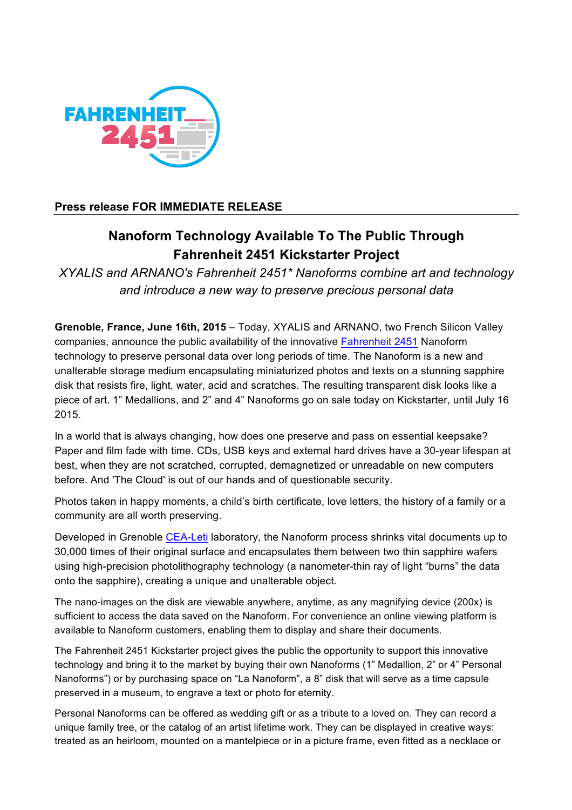

## **Press release FOR IMMEDIATE RELEASE**

# **Nanoform Technology Available To The Public Through Fahrenheit 2451 Kickstarter Project**

*XYALIS and ARNANO's Fahrenheit 2451\* Nanoforms combine art and technology and introduce a new way to preserve precious personal data*

**Grenoble, France, June 16th, 2015** – Today, XYALIS and ARNANO, two French Silicon Valley companies, announce the public availability of the innovative Fahrenheit 2451 Nanoform technology to preserve personal data over long periods of time. The Nanoform is a new and unalterable storage medium encapsulating miniaturized photos and texts on a stunning sapphire disk that resists fire, light, water, acid and scratches. The resulting transparent disk looks like a piece of art. 1" Medallions, and 2" and 4" Nanoforms go on sale today on Kickstarter, until July 16 2015.

In a world that is always changing, how does one preserve and pass on essential keepsake? Paper and film fade with time. CDs, USB keys and external hard drives have a 30-year lifespan at best, when they are not scratched, corrupted, demagnetized or unreadable on new computers before. And 'The Cloud' is out of our hands and of questionable security.

Photos taken in happy moments, a child's birth certificate, love letters, the history of a family or a community are all worth preserving.

Developed in Grenoble CEA-Leti laboratory, the Nanoform process shrinks vital documents up to 30,000 times of their original surface and encapsulates them between two thin sapphire wafers using high-precision photolithography technology (a nanometer-thin ray of light "burns" the data onto the sapphire), creating a unique and unalterable object.

The nano-images on the disk are viewable anywhere, anytime, as any magnifying device (200x) is sufficient to access the data saved on the Nanoform. For convenience an online viewing platform is available to Nanoform customers, enabling them to display and share their documents.

The Fahrenheit 2451 Kickstarter project gives the public the opportunity to support this innovative technology and bring it to the market by buying their own Nanoforms (1" Medallion, 2" or 4" Personal Nanoforms") or by purchasing space on "La Nanoform", a 8" disk that will serve as a time capsule preserved in a museum, to engrave a text or photo for eternity.

Personal Nanoforms can be offered as wedding gift or as a tribute to a loved on. They can record a unique family tree, or the catalog of an artist lifetime work. They can be displayed in creative ways: treated as an heirloom, mounted on a mantelpiece or in a picture frame, even fitted as a necklace or